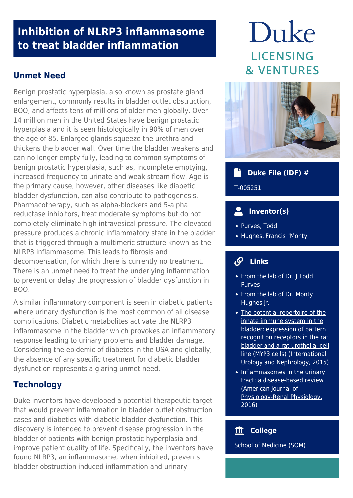## **Inhibition of NLRP3 inflammasome to treat bladder inflammation**

#### **Unmet Need**

Benign prostatic hyperplasia, also known as prostate gland enlargement, commonly results in bladder outlet obstruction, BOO, and affects tens of millions of older men globally. Over 14 million men in the United States have benign prostatic hyperplasia and it is seen histologically in 90% of men over the age of 85. Enlarged glands squeeze the urethra and thickens the bladder wall. Over time the bladder weakens and can no longer empty fully, leading to common symptoms of benign prostatic hyperplasia, such as, incomplete emptying, increased frequency to urinate and weak stream flow. Age is the primary cause, however, other diseases like diabetic bladder dysfunction, can also contribute to pathogenesis. Pharmacotherapy, such as alpha-blockers and 5-alpha reductase inhibitors, treat moderate symptoms but do not completely eliminate high intravesical pressure. The elevated pressure produces a chronic inflammatory state in the bladder that is triggered through a multimeric structure known as the NLRP3 inflammasome. This leads to fibrosis and decompensation, for which there is currently no treatment. There is an unmet need to treat the underlying inflammation to prevent or delay the progression of bladder dysfunction in BOO.

A similar inflammatory component is seen in diabetic patients where urinary dysfunction is the most common of all disease complications. Diabetic metabolites activate the NLRP3 inflammasome in the bladder which provokes an inflammatory response leading to urinary problems and bladder damage. Considering the epidemic of diabetes in the USA and globally, the absence of any specific treatment for diabetic bladder dysfunction represents a glaring unmet need.

## **Technology**

Duke inventors have developed a potential therapeutic target that would prevent inflammation in bladder outlet obstruction cases and diabetics with diabetic bladder dysfunction. This discovery is intended to prevent disease progression in the bladder of patients with benign prostatic hyperplasia and improve patient quality of life. Specifically, the inventors have found NLRP3, an inflammasome, when inhibited, prevents bladder obstruction induced inflammation and urinary

# Duke **LICENSING & VENTURES**



## **Duke File (IDF) #**

T-005251

## **Inventor(s)**

- Purves, Todd
- Hughes, Francis "Monty"

## **Links**

- [From the lab of Dr. J Todd](https://surgery.duke.edu/faculty/j-todd-purves-md-phd) [Purves](https://surgery.duke.edu/faculty/j-todd-purves-md-phd)
- [From the lab of Dr. Monty](https://surgery.duke.edu/faculty/monty-hughes-jr-phd) [Hughes Jr.](https://surgery.duke.edu/faculty/monty-hughes-jr-phd)
- [The potential repertoire of the](http://europepmc.org/article/PMC/4774865) [innate immune system in the](http://europepmc.org/article/PMC/4774865) [bladder: expression of pattern](http://europepmc.org/article/PMC/4774865) [recognition receptors in the rat](http://europepmc.org/article/PMC/4774865) [bladder and a rat urothelial cell](http://europepmc.org/article/PMC/4774865) [line \(MYP3 cells\) \(International](http://europepmc.org/article/PMC/4774865) [Urology and Nephrology, 2015\)](http://europepmc.org/article/PMC/4774865)
- [Inflammasomes in the urinary](https://journals.physiology.org/doi/full/10.1152/ajprenal.00607.2015) [tract: a disease-based review](https://journals.physiology.org/doi/full/10.1152/ajprenal.00607.2015) [\(American Journal of](https://journals.physiology.org/doi/full/10.1152/ajprenal.00607.2015) [Physiology-Renal Physiology,](https://journals.physiology.org/doi/full/10.1152/ajprenal.00607.2015) [2016\)](https://journals.physiology.org/doi/full/10.1152/ajprenal.00607.2015)

#### **College**

School of Medicine (SOM)